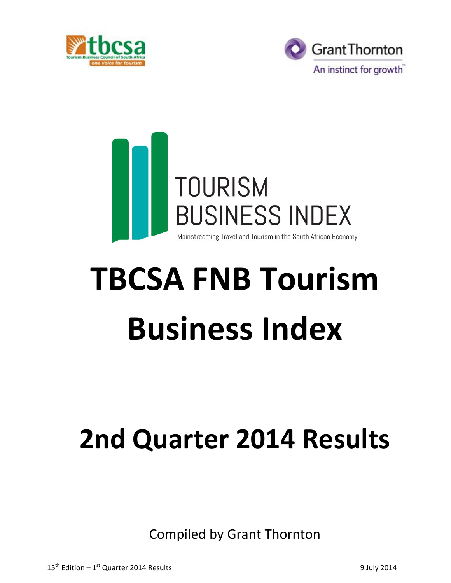





# **TBCSA FNB Tourism Business Index**

# **2nd Quarter 2014 Results**

Compiled by Grant Thornton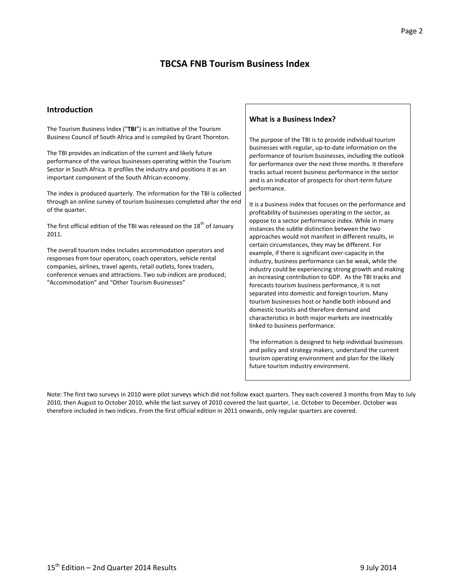# **TBCSA FNB Tourism Business Index**

#### **Introduction**

The Tourism Business Index ("**TBI**") is an initiative of the Tourism Business Council of South Africa and is compiled by Grant Thornton.

The TBI provides an indication of the current and likely future performance of the various businesses operating within the Tourism Sector in South Africa. It profiles the industry and positions it as an important component of the South African economy.

The index is produced quarterly. The information for the TBI is collected through an online survey of tourism businesses completed after the end of the quarter.

The first official edition of the TBI was released on the 18<sup>th</sup> of January 2011.

The overall tourism index includes accommodation operators and responses from tour operators, coach operators, vehicle rental companies, airlines, travel agents, retail outlets, forex traders, conference venues and attractions. Two sub-indices are produced; "Accommodation" and "Other Tourism Businesses"

#### **What is a Business Index?**

The purpose of the TBI is to provide individual tourism businesses with regular, up-to-date information on the performance of tourism businesses, including the outlook for performance over the next three months. It therefore tracks actual recent business performance in the sector and is an indicator of prospects for short-term future performance.

It is a business index that focuses on the performance and profitability of businesses operating in the sector, as oppose to a sector performance index. While in many instances the subtle distinction between the two approaches would not manifest in different results, in certain circumstances, they may be different. For example, if there is significant over-capacity in the industry, business performance can be weak, while the industry could be experiencing strong growth and making an increasing contribution to GDP. As the TBI tracks and forecasts tourism business performance, it is not separated into domestic and foreign tourism. Many tourism businesses host or handle both inbound and domestic tourists and therefore demand and characteristics in both major markets are inextricably linked to business performance.

The information is designed to help individual businesses and policy and strategy makers, understand the current tourism operating environment and plan for the likely future tourism industry environment.

Note: The first two surveys in 2010 were pilot surveys which did not follow exact quarters. They each covered 3 months from May to July 2010, then August to October 2010, while the last survey of 2010 covered the last quarter, i.e. October to December. October was therefore included in two indices. From the first official edition in 2011 onwards, only regular quarters are covered.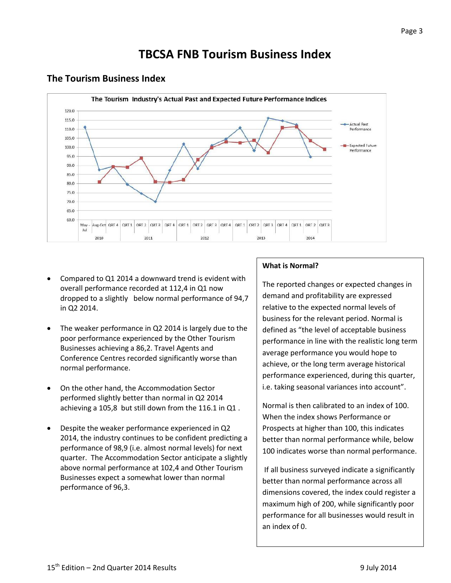#### The Tourism Industry's Actual Past and Expected Future Performance Indices 120.0 115.0 **Actual Past** 110.0 Performance 105.0 **Expected Future** 100.0 Performance 95.0 90.0 85.0 80.0 75.0 70.0 65.0 60.0 May-Aug-Oct QRT4 QRT1 ORT2 QRT3 QRT4 QRT1 ORT2 QRT3 QRT4 QRT1 ORT2 QRT3 QRT4 QRT1 ORT2 QRT3 2010 2012 2013 2014 2011

## **The Tourism Business Index**

- Compared to Q1 2014 a downward trend is evident with overall performance recorded at 112,4 in Q1 now dropped to a slightly below normal performance of 94,7 in Q2 2014.
- The weaker performance in Q2 2014 is largely due to the poor performance experienced by the Other Tourism Businesses achieving a 86,2. Travel Agents and Conference Centres recorded significantly worse than normal performance.
- On the other hand, the Accommodation Sector performed slightly better than normal in Q2 2014 achieving a 105,8 but still down from the 116.1 in Q1 .
- Despite the weaker performance experienced in Q2 2014, the industry continues to be confident predicting a performance of 98,9 (i.e. almost normal levels) for next quarter. The Accommodation Sector anticipate a slightly above normal performance at 102,4 and Other Tourism Businesses expect a somewhat lower than normal performance of 96,3.

# **What is Normal?**

The reported changes or expected changes in demand and profitability are expressed relative to the expected normal levels of business for the relevant period. Normal is defined as "the level of acceptable business performance in line with the realistic long term average performance you would hope to achieve, or the long term average historical performance experienced, during this quarter, i.e. taking seasonal variances into account".

Normal is then calibrated to an index of 100. When the index shows Performance or Prospects at higher than 100, this indicates better than normal performance while, below 100 indicates worse than normal performance.

If all business surveyed indicate a significantly better than normal performance across all dimensions covered, the index could register a maximum high of 200, while significantly poor performance for all businesses would result in an index of 0.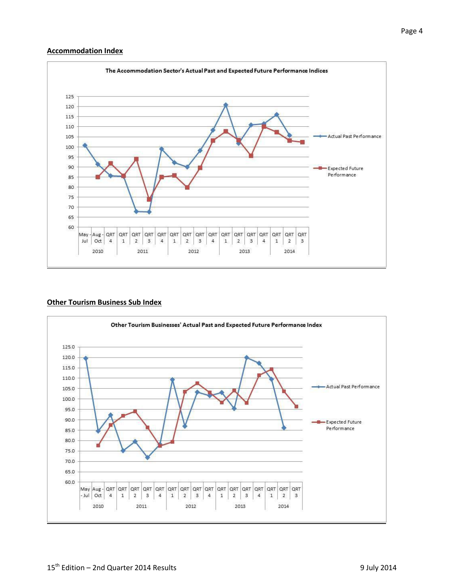#### **Accommodation Index**



#### **Other Tourism Business Sub Index**

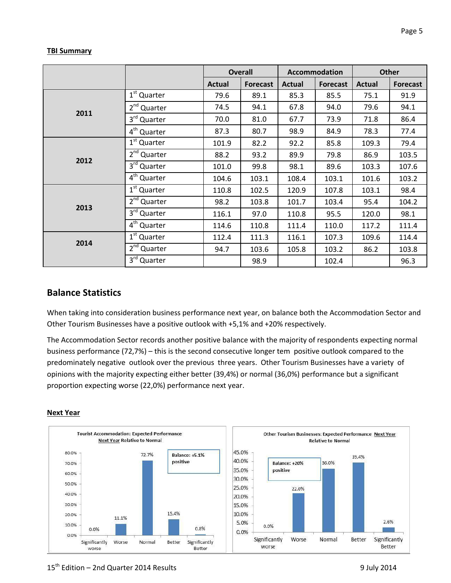#### **TBI Summary**

|      |                         | <b>Overall</b> |                 | Accommodation |                 | <b>Other</b>  |                 |  |
|------|-------------------------|----------------|-----------------|---------------|-----------------|---------------|-----------------|--|
|      |                         | <b>Actual</b>  | <b>Forecast</b> | <b>Actual</b> | <b>Forecast</b> | <b>Actual</b> | <b>Forecast</b> |  |
|      | 1 <sup>st</sup> Quarter | 79.6           | 89.1            | 85.3          | 85.5            | 75.1          | 91.9            |  |
| 2011 | 2 <sup>nd</sup> Quarter | 74.5           | 94.1            | 67.8          | 94.0            | 79.6          | 94.1            |  |
|      | 3rd Quarter             | 70.0           | 81.0            | 67.7          | 73.9            | 71.8          | 86.4            |  |
|      | 4 <sup>th</sup> Quarter | 87.3           | 80.7            | 98.9          | 84.9            | 78.3          | 77.4            |  |
|      | 1 <sup>st</sup> Quarter | 101.9          | 82.2            | 92.2          | 85.8            | 109.3         | 79.4            |  |
| 2012 | 2 <sup>nd</sup> Quarter | 88.2           | 93.2            | 89.9          | 79.8            | 86.9          | 103.5           |  |
|      | $3rd$ Quarter           | 101.0          | 99.8            | 98.1          | 89.6            | 103.3         | 107.6           |  |
|      | $4th$ Quarter           | 104.6          | 103.1           | 108.4         | 103.1           | 101.6         | 103.2           |  |
|      | 1 <sup>st</sup> Quarter | 110.8          | 102.5           | 120.9         | 107.8           | 103.1         | 98.4            |  |
|      | $2nd$ Quarter           | 98.2           | 103.8           | 101.7         | 103.4           | 95.4          | 104.2           |  |
| 2013 | 3rd Quarter             | 116.1          | 97.0            | 110.8         | 95.5            | 120.0         | 98.1            |  |
|      | 4 <sup>th</sup> Quarter | 114.6          | 110.8           | 111.4         | 110.0           | 117.2         | 111.4           |  |
| 2014 | 1 <sup>st</sup> Quarter | 112.4          | 111.3           | 116.1         | 107.3           | 109.6         | 114.4           |  |
|      | 2 <sup>nd</sup> Quarter | 94.7           | 103.6           | 105.8         | 103.2           | 86.2          | 103.8           |  |
|      | 3rd Quarter             |                | 98.9            |               | 102.4           |               | 96.3            |  |

# **Balance Statistics**

When taking into consideration business performance next year, on balance both the Accommodation Sector and Other Tourism Businesses have a positive outlook with +5,1% and +20% respectively.

The Accommodation Sector records another positive balance with the majority of respondents expecting normal business performance (72,7%) – this is the second consecutive longer tem positive outlook compared to the predominately negative outlook over the previous three years. Other Tourism Businesses have a variety of opinions with the majority expecting either better (39,4%) or normal (36,0%) performance but a significant proportion expecting worse (22,0%) performance next year.

#### **Next Year**

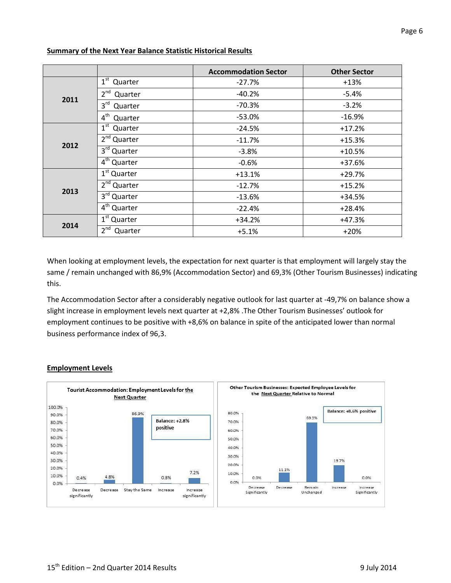|      |                            | <b>Accommodation Sector</b> | <b>Other Sector</b> |  |
|------|----------------------------|-----------------------------|---------------------|--|
|      | $1st$ Quarter              | $-27.7%$                    | $+13%$              |  |
| 2011 | 2 <sup>nd</sup><br>Quarter | $-40.2%$                    | $-5.4%$             |  |
|      | 3 <sup>rd</sup><br>Quarter | $-70.3%$                    | $-3.2%$             |  |
|      | $4^{\text{th}}$<br>Quarter | $-53.0%$                    | $-16.9%$            |  |
|      | $1st$ Quarter              | $-24.5%$                    | $+17.2%$            |  |
|      | $2nd$ Quarter              | $-11.7%$                    | $+15.3%$            |  |
| 2012 | $3rd$ Quarter              | $-3.8%$                     | $+10.5%$            |  |
|      | 4 <sup>th</sup> Quarter    | $-0.6%$                     | +37.6%              |  |
|      | $1st$ Quarter              | $+13.1%$                    | $+29.7%$            |  |
| 2013 | 2 <sup>nd</sup> Quarter    | $-12.7%$                    | $+15.2%$            |  |
|      | $3rd$ Quarter              | $-13.6%$                    | $+34.5%$            |  |
|      | 4 <sup>th</sup> Quarter    | $-22.4%$                    | $+28.4%$            |  |
|      | $1st$ Quarter              | $+34.2%$                    | $+47.3%$            |  |
| 2014 | $2^{nd}$<br>Quarter        | $+5.1%$                     | $+20%$              |  |

#### **Summary of the Next Year Balance Statistic Historical Results**

When looking at employment levels, the expectation for next quarter is that employment will largely stay the same / remain unchanged with 86,9% (Accommodation Sector) and 69,3% (Other Tourism Businesses) indicating this.

The Accommodation Sector after a considerably negative outlook for last quarter at -49,7% on balance show a slight increase in employment levels next quarter at +2,8% .The Other Tourism Businesses' outlook for employment continues to be positive with +8,6% on balance in spite of the anticipated lower than normal business performance index of 96,3.



#### **Employment Levels**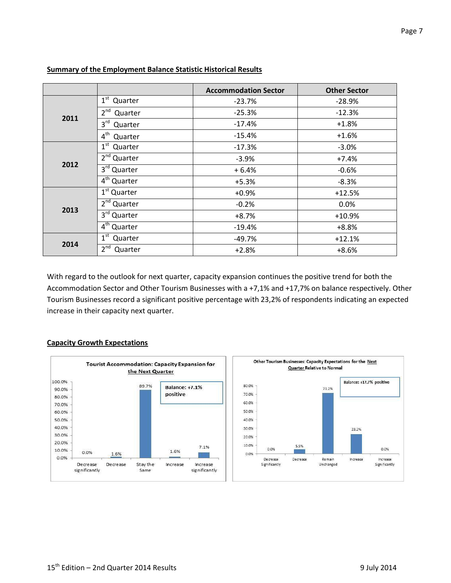|      |                            | <b>Accommodation Sector</b> | <b>Other Sector</b> |  |
|------|----------------------------|-----------------------------|---------------------|--|
|      | $1st$ Quarter              | $-23.7%$                    | $-28.9%$            |  |
| 2011 | $2nd$ Quarter              | $-25.3%$                    | $-12.3%$            |  |
|      | 3rd Quarter                | $-17.4%$                    | $+1.8%$             |  |
|      | $4^{\text{th}}$<br>Quarter | $-15.4%$                    | $+1.6%$             |  |
|      | $1st$ Quarter              | $-17.3%$                    | $-3.0%$             |  |
|      | 2 <sup>nd</sup> Quarter    | $-3.9%$                     | $+7.4%$             |  |
| 2012 | 3rd Quarter                | $+6.4%$                     | $-0.6%$             |  |
|      | $4th$ Quarter              | $+5.3%$                     | $-8.3%$             |  |
|      | 1 <sup>st</sup> Quarter    | $+0.9%$                     | $+12.5%$            |  |
|      | 2 <sup>nd</sup> Quarter    | $-0.2%$                     | 0.0%                |  |
| 2013 | 3rd Quarter                | $+8.7%$                     | $+10.9%$            |  |
|      | $4th$ Quarter              | $-19.4%$                    | $+8.8%$             |  |
|      | $1st$ Quarter              | -49.7%                      | $+12.1%$            |  |
| 2014 | 2 <sup>nd</sup><br>Quarter | $+2.8%$                     | $+8.6%$             |  |

#### **Summary of the Employment Balance Statistic Historical Results**

With regard to the outlook for next quarter, capacity expansion continues the positive trend for both the Accommodation Sector and Other Tourism Businesses with a +7,1% and +17,7% on balance respectively. Other Tourism Businesses record a significant positive percentage with 23,2% of respondents indicating an expected increase in their capacity next quarter.

#### **Capacity Growth Expectations**



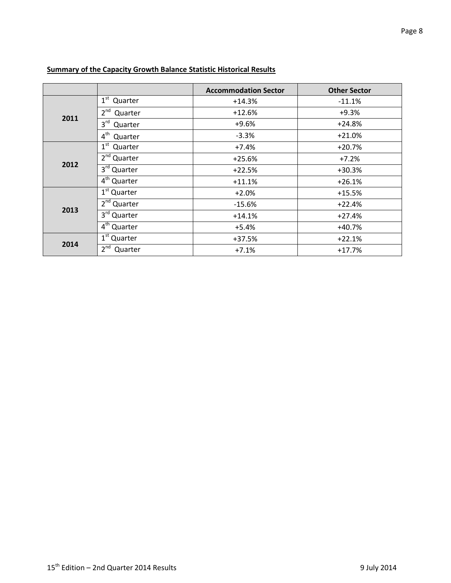|      |                                    | <b>Accommodation Sector</b> | <b>Other Sector</b> |  |
|------|------------------------------------|-----------------------------|---------------------|--|
|      | $1st$ Quarter                      | $+14.3%$                    | $-11.1%$            |  |
|      | 2 <sup>nd</sup><br>Quarter         | $+12.6%$                    | $+9.3%$             |  |
| 2011 | 3 <sup>rd</sup><br>Quarter         | $+9.6%$                     | $+24.8%$            |  |
|      | 4 <sup>th</sup><br>Quarter         | $-3.3%$                     | $+21.0%$            |  |
|      | $1st$ Quarter                      | $+7.4%$                     | $+20.7%$            |  |
|      | $2nd$ Quarter                      | $+25.6%$                    | $+7.2%$             |  |
| 2012 | 3rd Quarter                        | $+22.5%$                    | $+30.3%$            |  |
|      | 4 <sup>th</sup> Quarter            | $+11.1%$                    | $+26.1%$            |  |
|      | 1 <sup>st</sup> Quarter            | $+2.0%$                     | $+15.5%$            |  |
|      | 2 <sup>nd</sup> Quarter            | $-15.6%$                    | $+22.4%$            |  |
| 2013 | 3rd Quarter                        | $+14.1%$                    | $+27.4%$            |  |
|      | $\overline{4}^{\text{th}}$ Quarter | $+5.4%$                     | $+40.7%$            |  |
|      | $1st$ Quarter                      | +37.5%                      | $+22.1%$            |  |
| 2014 | 2 <sup>nd</sup><br>Quarter         | $+7.1%$                     | $+17.7%$            |  |

## **Summary of the Capacity Growth Balance Statistic Historical Results**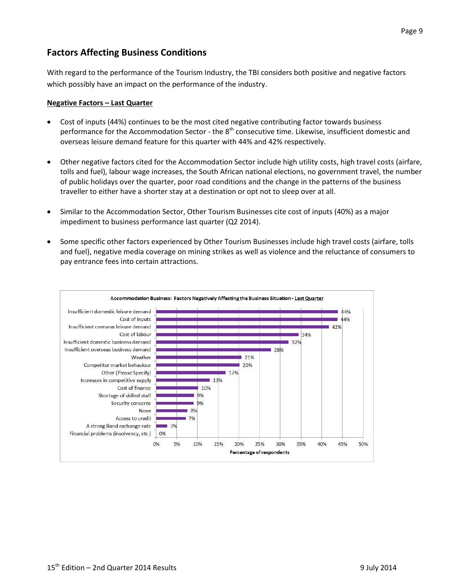# **Factors Affecting Business Conditions**

With regard to the performance of the Tourism Industry, the TBI considers both positive and negative factors which possibly have an impact on the performance of the industry.

#### **Negative Factors – Last Quarter**

- Cost of inputs (44%) continues to be the most cited negative contributing factor towards business performance for the Accommodation Sector - the 8<sup>th</sup> consecutive time. Likewise, insufficient domestic and overseas leisure demand feature for this quarter with 44% and 42% respectively.
- Other negative factors cited for the Accommodation Sector include high utility costs, high travel costs (airfare, tolls and fuel), labour wage increases, the South African national elections, no government travel, the number of public holidays over the quarter, poor road conditions and the change in the patterns of the business traveller to either have a shorter stay at a destination or opt not to sleep over at all.
- Similar to the Accommodation Sector, Other Tourism Businesses cite cost of inputs (40%) as a major impediment to business performance last quarter (Q2 2014).
- Some specific other factors experienced by Other Tourism Businesses include high travel costs (airfare, tolls and fuel), negative media coverage on mining strikes as well as violence and the reluctance of consumers to pay entrance fees into certain attractions.

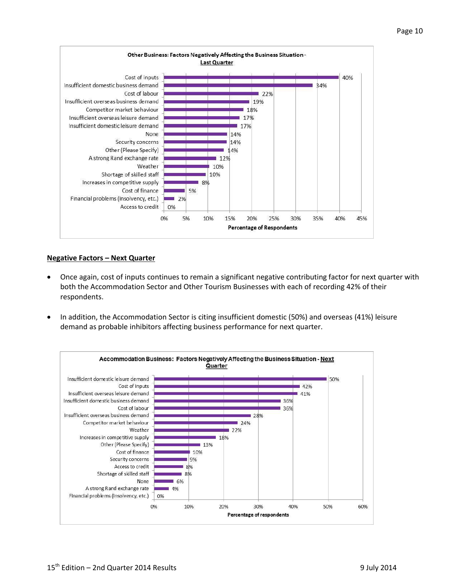

#### **Negative Factors – Next Quarter**

- Once again, cost of inputs continues to remain a significant negative contributing factor for next quarter with both the Accommodation Sector and Other Tourism Businesses with each of recording 42% of their respondents.
- In addition, the Accommodation Sector is citing insufficient domestic (50%) and overseas (41%) leisure demand as probable inhibitors affecting business performance for next quarter.

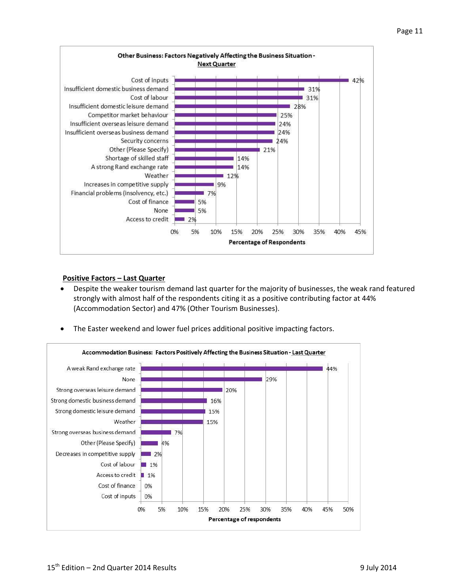

#### **Positive Factors – Last Quarter**

 Despite the weaker tourism demand last quarter for the majority of businesses, the weak rand featured strongly with almost half of the respondents citing it as a positive contributing factor at 44% (Accommodation Sector) and 47% (Other Tourism Businesses).



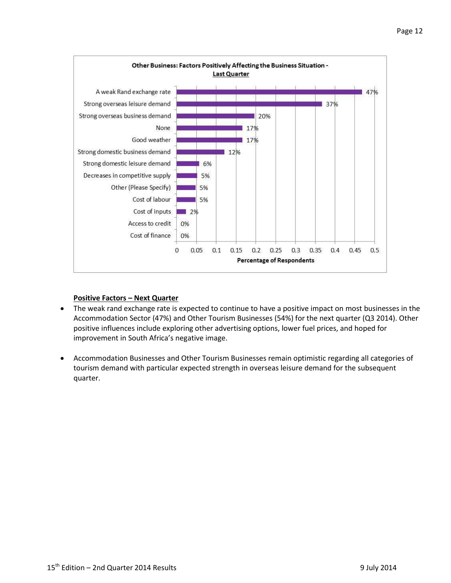

#### **Positive Factors – Next Quarter**

- The weak rand exchange rate is expected to continue to have a positive impact on most businesses in the Accommodation Sector (47%) and Other Tourism Businesses (54%) for the next quarter (Q3 2014). Other positive influences include exploring other advertising options, lower fuel prices, and hoped for improvement in South Africa's negative image.
- Accommodation Businesses and Other Tourism Businesses remain optimistic regarding all categories of tourism demand with particular expected strength in overseas leisure demand for the subsequent quarter.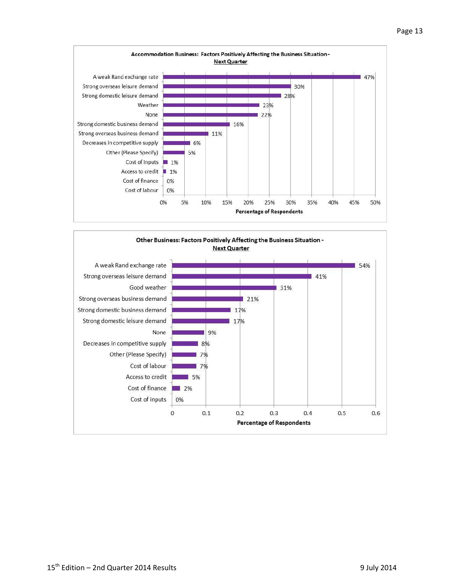

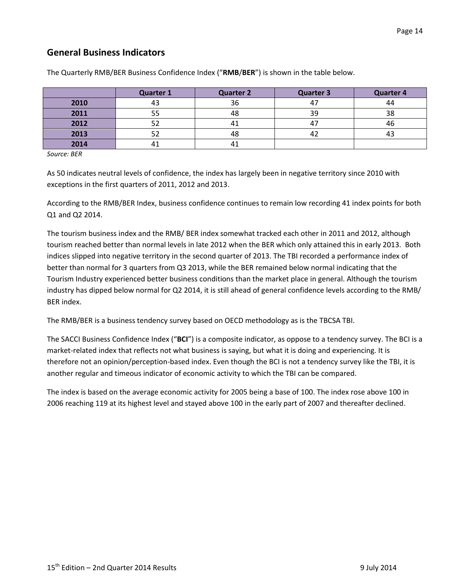# **General Business Indicators**

|      | <b>Quarter 1</b> | <b>Quarter 2</b> | <b>Quarter 3</b> | <b>Quarter 4</b> |
|------|------------------|------------------|------------------|------------------|
| 2010 |                  | 36               | 4.               | 44               |
| 2011 |                  | 48               | 39               | 38               |
| 2012 |                  |                  | 47               | 46               |
| 2013 |                  | 48               | 44               |                  |
| 2014 |                  |                  |                  |                  |

The Quarterly RMB/BER Business Confidence Index ("**RMB**/**BER**") is shown in the table below.

*Source: BER*

As 50 indicates neutral levels of confidence, the index has largely been in negative territory since 2010 with exceptions in the first quarters of 2011, 2012 and 2013.

According to the RMB/BER Index, business confidence continues to remain low recording 41 index points for both Q1 and Q2 2014.

The tourism business index and the RMB/ BER index somewhat tracked each other in 2011 and 2012, although tourism reached better than normal levels in late 2012 when the BER which only attained this in early 2013. Both indices slipped into negative territory in the second quarter of 2013. The TBI recorded a performance index of better than normal for 3 quarters from Q3 2013, while the BER remained below normal indicating that the Tourism Industry experienced better business conditions than the market place in general. Although the tourism industry has dipped below normal for Q2 2014, it is still ahead of general confidence levels according to the RMB/ BER index.

The RMB/BER is a business tendency survey based on OECD methodology as is the TBCSA TBI.

The SACCI Business Confidence Index ("**BCI**") is a composite indicator, as oppose to a tendency survey. The BCI is a market-related index that reflects not what business is saying, but what it is doing and experiencing. It is therefore not an opinion/perception-based index. Even though the BCI is not a tendency survey like the TBI, it is another regular and timeous indicator of economic activity to which the TBI can be compared.

The index is based on the average economic activity for 2005 being a base of 100. The index rose above 100 in 2006 reaching 119 at its highest level and stayed above 100 in the early part of 2007 and thereafter declined.